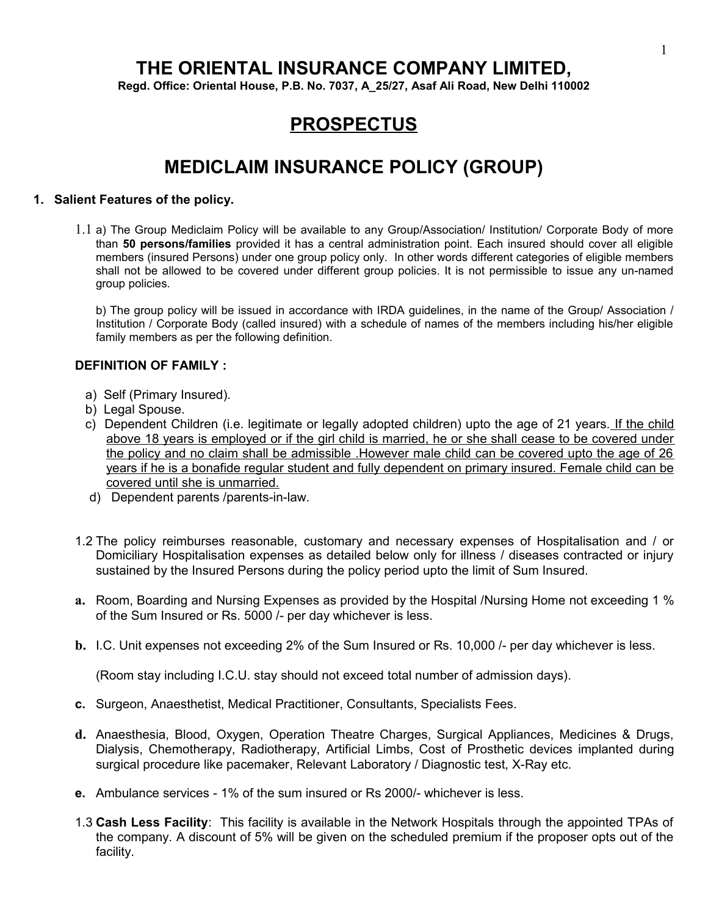# **THE ORIENTAL INSURANCE COMPANY LIMITED,**

**Regd. Office: Oriental House, P.B. No. 7037, A\_25/27, Asaf Ali Road, New Delhi 110002**

# **PROSPECTUS**

# **MEDICLAIM INSURANCE POLICY (GROUP)**

#### **1. Salient Features of the policy.**

1.1 a) The Group Mediclaim Policy will be available to any Group/Association/ Institution/ Corporate Body of more than **50 persons/families** provided it has a central administration point. Each insured should cover all eligible members (insured Persons) under one group policy only. In other words different categories of eligible members shall not be allowed to be covered under different group policies. It is not permissible to issue any un-named group policies.

b) The group policy will be issued in accordance with IRDA guidelines, in the name of the Group/ Association / Institution / Corporate Body (called insured) with a schedule of names of the members including his/her eligible family members as per the following definition.

### **DEFINITION OF FAMILY :**

- a) Self (Primary Insured).
- b) Legal Spouse.
- c) Dependent Children (i.e. legitimate or legally adopted children) upto the age of 21 years. If the child above 18 years is employed or if the girl child is married, he or she shall cease to be covered under the policy and no claim shall be admissible .However male child can be covered upto the age of 26 years if he is a bonafide regular student and fully dependent on primary insured. Female child can be covered until she is unmarried.
- d) Dependent parents /parents-in-law.
- 1.2 The policy reimburses reasonable, customary and necessary expenses of Hospitalisation and / or Domiciliary Hospitalisation expenses as detailed below only for illness / diseases contracted or injury sustained by the Insured Persons during the policy period upto the limit of Sum Insured.
- **a.** Room, Boarding and Nursing Expenses as provided by the Hospital /Nursing Home not exceeding 1 % of the Sum Insured or Rs. 5000 /- per day whichever is less.
- **b.** I.C. Unit expenses not exceeding 2% of the Sum Insured or Rs. 10,000 /- per day whichever is less.

(Room stay including I.C.U. stay should not exceed total number of admission days).

- **c.** Surgeon, Anaesthetist, Medical Practitioner, Consultants, Specialists Fees.
- **d.** Anaesthesia, Blood, Oxygen, Operation Theatre Charges, Surgical Appliances, Medicines & Drugs, Dialysis, Chemotherapy, Radiotherapy, Artificial Limbs, Cost of Prosthetic devices implanted during surgical procedure like pacemaker, Relevant Laboratory / Diagnostic test, X-Ray etc.
- **e.** Ambulance services 1% of the sum insured or Rs 2000/- whichever is less.
- 1.3 **Cash Less Facility**: This facility is available in the Network Hospitals through the appointed TPAs of the company. A discount of 5% will be given on the scheduled premium if the proposer opts out of the facility.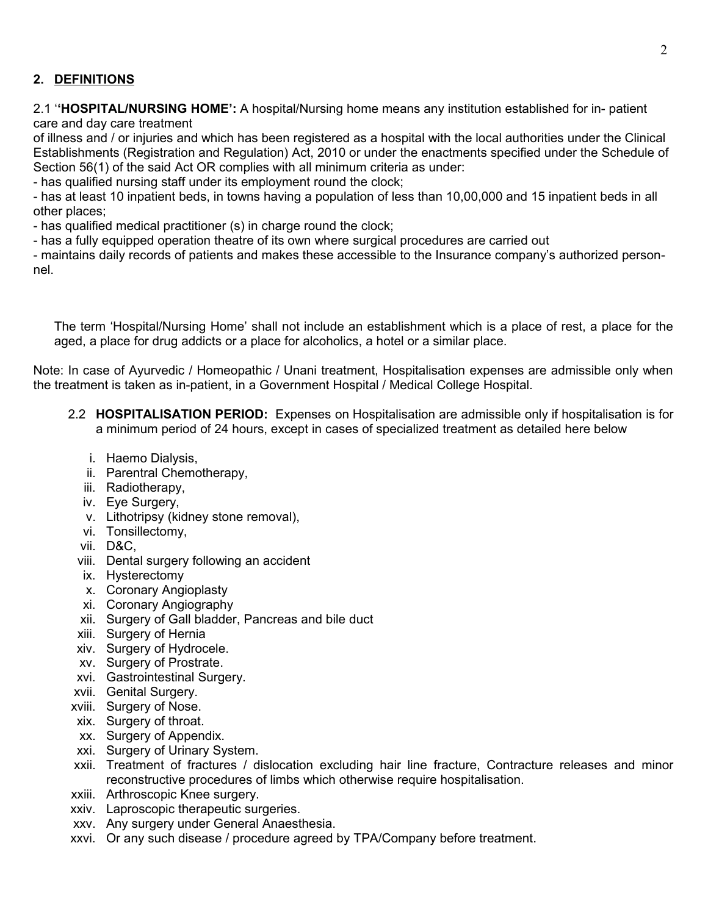# **2. DEFINITIONS**

2.1 '**'HOSPITAL/NURSING HOME':** A hospital/Nursing home means any institution established for in- patient care and day care treatment

of illness and / or injuries and which has been registered as a hospital with the local authorities under the Clinical Establishments (Registration and Regulation) Act, 2010 or under the enactments specified under the Schedule of Section 56(1) of the said Act OR complies with all minimum criteria as under:

- has qualified nursing staff under its employment round the clock;

- has at least 10 inpatient beds, in towns having a population of less than 10,00,000 and 15 inpatient beds in all other places;

- has qualified medical practitioner (s) in charge round the clock;

- has a fully equipped operation theatre of its own where surgical procedures are carried out

- maintains daily records of patients and makes these accessible to the Insurance company's authorized personnel.

The term 'Hospital/Nursing Home' shall not include an establishment which is a place of rest, a place for the aged, a place for drug addicts or a place for alcoholics, a hotel or a similar place.

Note: In case of Ayurvedic / Homeopathic / Unani treatment, Hospitalisation expenses are admissible only when the treatment is taken as in-patient, in a Government Hospital / Medical College Hospital.

- 2.2 **HOSPITALISATION PERIOD:** Expenses on Hospitalisation are admissible only if hospitalisation is for a minimum period of 24 hours, except in cases of specialized treatment as detailed here below
	- i. Haemo Dialysis,
	- ii. Parentral Chemotherapy,
	- iii. Radiotherapy,
	- iv. Eye Surgery,
	- v. Lithotripsy (kidney stone removal),
	- vi. Tonsillectomy,
	- vii. D&C,
	- viii. Dental surgery following an accident
	- ix. Hysterectomy
	- x. Coronary Angioplasty
	- xi. Coronary Angiography
	- xii. Surgery of Gall bladder, Pancreas and bile duct
	- xiii. Surgery of Hernia
	- xiv. Surgery of Hydrocele.
	- xv. Surgery of Prostrate.
	- xvi. Gastrointestinal Surgery.
- xvii. Genital Surgery.
- xviii. Surgery of Nose.
- xix. Surgery of throat.
- xx. Surgery of Appendix.
- xxi. Surgery of Urinary System.
- xxii. Treatment of fractures / dislocation excluding hair line fracture, Contracture releases and minor reconstructive procedures of limbs which otherwise require hospitalisation.
- xxiii. Arthroscopic Knee surgery.
- xxiv. Laproscopic therapeutic surgeries.
- xxv. Any surgery under General Anaesthesia.
- xxvi. Or any such disease / procedure agreed by TPA/Company before treatment.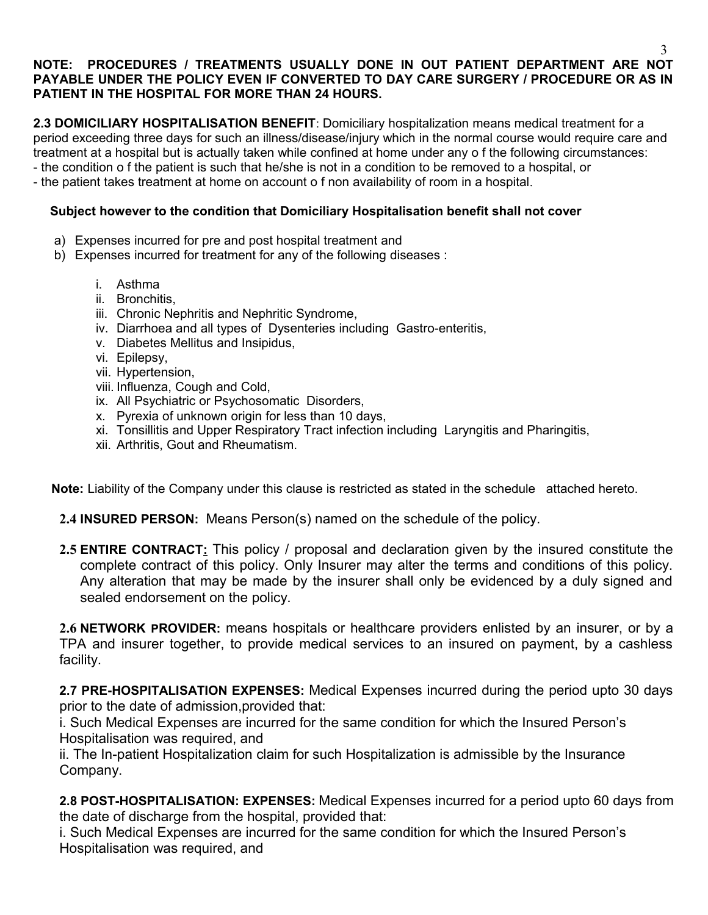## **NOTE: PROCEDURES / TREATMENTS USUALLY DONE IN OUT PATIENT DEPARTMENT ARE NOT PAYABLE UNDER THE POLICY EVEN IF CONVERTED TO DAY CARE SURGERY / PROCEDURE OR AS IN PATIENT IN THE HOSPITAL FOR MORE THAN 24 HOURS.**

**2.3 DOMICILIARY HOSPITALISATION BENEFIT**: Domiciliary hospitalization means medical treatment for a period exceeding three days for such an illness/disease/injury which in the normal course would require care and treatment at a hospital but is actually taken while confined at home under any o f the following circumstances: - the condition o f the patient is such that he/she is not in a condition to be removed to a hospital, or

- the patient takes treatment at home on account o f non availability of room in a hospital.

## **Subject however to the condition that Domiciliary Hospitalisation benefit shall not cover**

- a) Expenses incurred for pre and post hospital treatment and
- b) Expenses incurred for treatment for any of the following diseases :
	- i. Asthma
	- ii. Bronchitis,
	- iii. Chronic Nephritis and Nephritic Syndrome,
	- iv. Diarrhoea and all types of Dysenteries including Gastro-enteritis,
	- v. Diabetes Mellitus and Insipidus,
	- vi. Epilepsy,
	- vii. Hypertension,
	- viii. Influenza, Cough and Cold,
	- ix. All Psychiatric or Psychosomatic Disorders,
	- x. Pyrexia of unknown origin for less than 10 days,
	- xi. Tonsillitis and Upper Respiratory Tract infection including Laryngitis and Pharingitis,
	- xii. Arthritis, Gout and Rheumatism.

 **Note:** Liability of the Company under this clause is restricted as stated in the schedule attached hereto.

- **2.4 INSURED PERSON:** Means Person(s) named on the schedule of the policy.
- **2.5 ENTIRE CONTRACT:** This policy / proposal and declaration given by the insured constitute the complete contract of this policy. Only Insurer may alter the terms and conditions of this policy. Any alteration that may be made by the insurer shall only be evidenced by a duly signed and sealed endorsement on the policy.

**2.6 NETWORK PROVIDER:** means hospitals or healthcare providers enlisted by an insurer, or by a TPA and insurer together, to provide medical services to an insured on payment, by a cashless facility.

**2.7 PRE-HOSPITALISATION EXPENSES:** Medical Expenses incurred during the period upto 30 days prior to the date of admission, provided that:

i. Such Medical Expenses are incurred for the same condition for which the Insured Person's Hospitalisation was required, and

ii. The In-patient Hospitalization claim for such Hospitalization is admissible by the Insurance Company.

**2.8 POST-HOSPITALISATION: EXPENSES:** Medical Expenses incurred for a period upto 60 days from the date of discharge from the hospital, provided that:

i. Such Medical Expenses are incurred for the same condition for which the Insured Person's Hospitalisation was required, and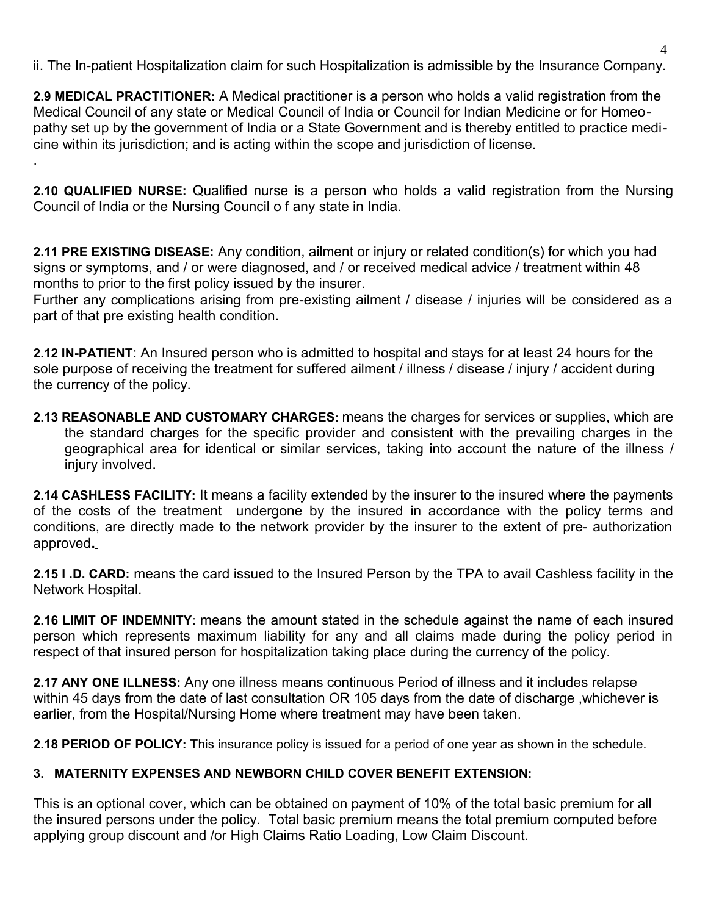ii. The In-patient Hospitalization claim for such Hospitalization is admissible by the Insurance Company.

**2.9 MEDICAL PRACTITIONER:** A Medical practitioner is a person who holds a valid registration from the Medical Council of any state or Medical Council of India or Council for Indian Medicine or for Homeopathy set up by the government of India or a State Government and is thereby entitled to practice medicine within its jurisdiction; and is acting within the scope and jurisdiction of license. .

**2.10 QUALIFIED NURSE:** Qualified nurse is a person who holds a valid registration from the Nursing Council of India or the Nursing Council o f any state in India.

**2.11 PRE EXISTING DISEASE:** Any condition, ailment or injury or related condition(s) for which you had signs or symptoms, and / or were diagnosed, and / or received medical advice / treatment within 48 months to prior to the first policy issued by the insurer.

Further any complications arising from pre-existing ailment / disease / injuries will be considered as a part of that pre existing health condition.

**2.12 IN-PATIENT**: An Insured person who is admitted to hospital and stays for at least 24 hours for the sole purpose of receiving the treatment for suffered ailment / illness / disease / injury / accident during the currency of the policy.

**2.13 REASONABLE AND CUSTOMARY CHARGES:** means the charges for services or supplies, which are the standard charges for the specific provider and consistent with the prevailing charges in the geographical area for identical or similar services, taking into account the nature of the illness / injury involved**.** 

**2.14 CASHLESS FACILITY:** It means a facility extended by the insurer to the insured where the payments of the costs of the treatment undergone by the insured in accordance with the policy terms and conditions, are directly made to the network provider by the insurer to the extent of pre- authorization approved**.**

**2.15 I .D. CARD:** means the card issued to the Insured Person by the TPA to avail Cashless facility in the Network Hospital.

**2.16 LIMIT OF INDEMNITY**: means the amount stated in the schedule against the name of each insured person which represents maximum liability for any and all claims made during the policy period in respect of that insured person for hospitalization taking place during the currency of the policy.

**2.17 ANY ONE ILLNESS:** Any one illness means continuous Period of illness and it includes relapse within 45 days from the date of last consultation OR 105 days from the date of discharge ,whichever is earlier, from the Hospital/Nursing Home where treatment may have been taken.

**2.18 PERIOD OF POLICY:** This insurance policy is issued for a period of one year as shown in the schedule.

# **3. MATERNITY EXPENSES AND NEWBORN CHILD COVER BENEFIT EXTENSION:**

This is an optional cover, which can be obtained on payment of 10% of the total basic premium for all the insured persons under the policy. Total basic premium means the total premium computed before applying group discount and /or High Claims Ratio Loading, Low Claim Discount.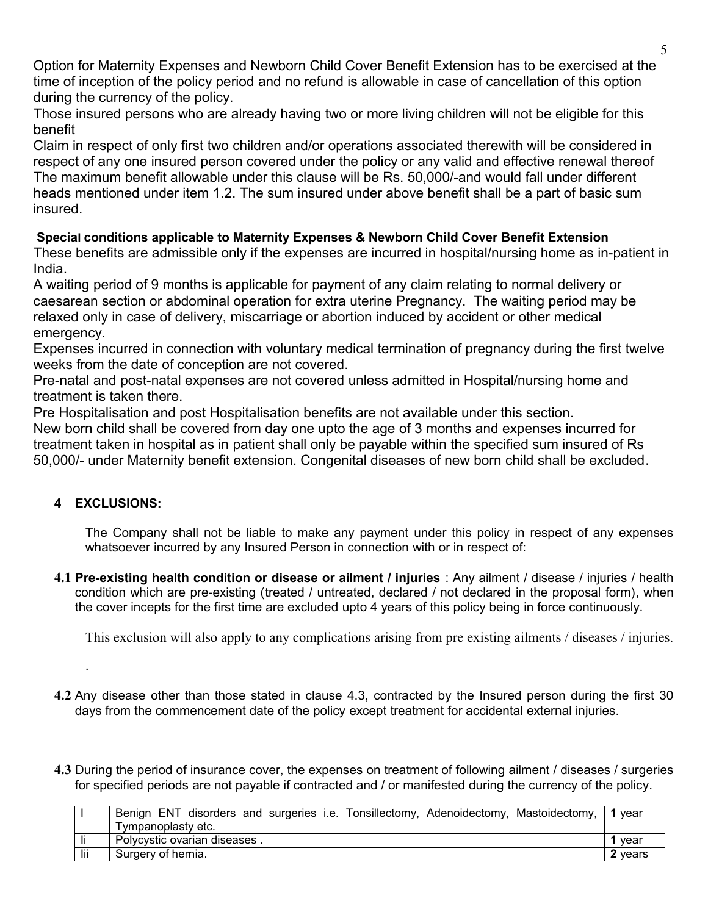Option for Maternity Expenses and Newborn Child Cover Benefit Extension has to be exercised at the time of inception of the policy period and no refund is allowable in case of cancellation of this option during the currency of the policy.

Those insured persons who are already having two or more living children will not be eligible for this benefit

Claim in respect of only first two children and/or operations associated therewith will be considered in respect of any one insured person covered under the policy or any valid and effective renewal thereof The maximum benefit allowable under this clause will be Rs. 50,000/-and would fall under different heads mentioned under item 1.2. The sum insured under above benefit shall be a part of basic sum insured.

# **Special conditions applicable to Maternity Expenses & Newborn Child Cover Benefit Extension**

These benefits are admissible only if the expenses are incurred in hospital/nursing home as in-patient in India.

A waiting period of 9 months is applicable for payment of any claim relating to normal delivery or caesarean section or abdominal operation for extra uterine Pregnancy. The waiting period may be relaxed only in case of delivery, miscarriage or abortion induced by accident or other medical emergency.

Expenses incurred in connection with voluntary medical termination of pregnancy during the first twelve weeks from the date of conception are not covered.

Pre-natal and post-natal expenses are not covered unless admitted in Hospital/nursing home and treatment is taken there.

Pre Hospitalisation and post Hospitalisation benefits are not available under this section. New born child shall be covered from day one upto the age of 3 months and expenses incurred for

treatment taken in hospital as in patient shall only be payable within the specified sum insured of Rs 50,000/- under Maternity benefit extension. Congenital diseases of new born child shall be excluded**.** 

# **4 EXCLUSIONS:**

.

The Company shall not be liable to make any payment under this policy in respect of any expenses whatsoever incurred by any Insured Person in connection with or in respect of:

**4.1 Pre-existing health condition or disease or ailment / injuries** : Any ailment / disease / injuries / health condition which are pre-existing (treated / untreated, declared / not declared in the proposal form), when the cover incepts for the first time are excluded upto 4 years of this policy being in force continuously.

This exclusion will also apply to any complications arising from pre existing ailments / diseases / injuries.

- **4.2** Any disease other than those stated in clause 4.3, contracted by the Insured person during the first 30 days from the commencement date of the policy except treatment for accidental external injuries.
- **4.3** During the period of insurance cover, the expenses on treatment of following ailment / diseases / surgeries for specified periods are not payable if contracted and / or manifested during the currency of the policy.

|     | Benign ENT disorders and surgeries i.e. Tonsillectomy, Adenoidectomy, Mastoidectomy, 1 year |         |
|-----|---------------------------------------------------------------------------------------------|---------|
|     | Tympanoplasty etc.                                                                          |         |
|     | Polycystic ovarian diseases.                                                                | vear    |
| lii | Surgery of hernia.                                                                          | 2 vears |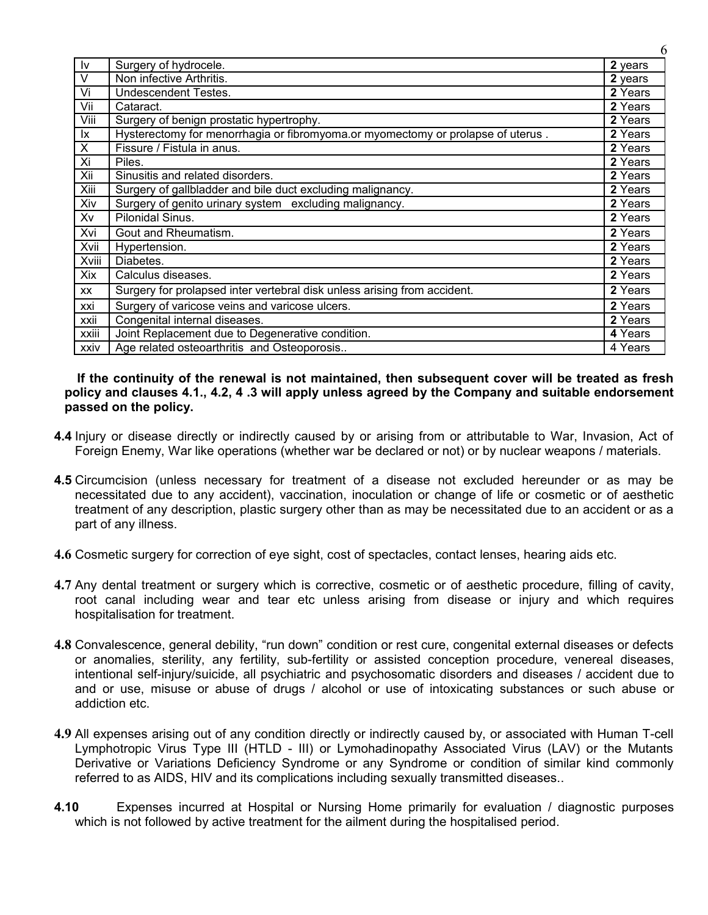| Iv        | Surgery of hydrocele.                                                           | 2 years |
|-----------|---------------------------------------------------------------------------------|---------|
| V         | Non infective Arthritis.                                                        | 2 years |
| Vi        | <b>Undescendent Testes.</b>                                                     | 2 Years |
| Vii       | Cataract.                                                                       | 2 Years |
| Viii      | Surgery of benign prostatic hypertrophy.                                        | 2 Years |
| Ix.       | Hysterectomy for menorrhagia or fibromyoma.or myomectomy or prolapse of uterus. | 2 Years |
| X         | Fissure / Fistula in anus.                                                      | 2 Years |
| Xi        | Piles.                                                                          | 2 Years |
| Xii       | Sinusitis and related disorders.                                                | 2 Years |
| Xiii      | Surgery of gallbladder and bile duct excluding malignancy.                      | 2 Years |
| Xiv       | Surgery of genito urinary system excluding malignancy.                          | 2 Years |
| Xv        | Pilonidal Sinus.                                                                | 2 Years |
| Xvi       | Gout and Rheumatism.                                                            | 2 Years |
| Xvii      | Hypertension.                                                                   | 2 Years |
| Xviii     | Diabetes.                                                                       | 2 Years |
| Xix       | Calculus diseases.                                                              | 2 Years |
| <b>XX</b> | Surgery for prolapsed inter vertebral disk unless arising from accident.        | 2 Years |
| xxi       | Surgery of varicose veins and varicose ulcers.                                  | 2 Years |
| xxii      | Congenital internal diseases.                                                   | 2 Years |
| xxiii     | Joint Replacement due to Degenerative condition.                                | 4 Years |
| xxiv      | Age related osteoarthritis and Osteoporosis                                     | 4 Years |

 **If the continuity of the renewal is not maintained, then subsequent cover will be treated as fresh policy and clauses 4.1., 4.2, 4 .3 will apply unless agreed by the Company and suitable endorsement passed on the policy.**

- **4.4** Injury or disease directly or indirectly caused by or arising from or attributable to War, Invasion, Act of Foreign Enemy, War like operations (whether war be declared or not) or by nuclear weapons / materials.
- **4.5** Circumcision (unless necessary for treatment of a disease not excluded hereunder or as may be necessitated due to any accident), vaccination, inoculation or change of life or cosmetic or of aesthetic treatment of any description, plastic surgery other than as may be necessitated due to an accident or as a part of any illness.
- **4.6** Cosmetic surgery for correction of eye sight, cost of spectacles, contact lenses, hearing aids etc.
- **4.7** Any dental treatment or surgery which is corrective, cosmetic or of aesthetic procedure, filling of cavity, root canal including wear and tear etc unless arising from disease or injury and which requires hospitalisation for treatment.
- **4.8** Convalescence, general debility, "run down" condition or rest cure, congenital external diseases or defects or anomalies, sterility, any fertility, sub-fertility or assisted conception procedure, venereal diseases, intentional self-injury/suicide, all psychiatric and psychosomatic disorders and diseases / accident due to and or use, misuse or abuse of drugs / alcohol or use of intoxicating substances or such abuse or addiction etc.
- **4.9** All expenses arising out of any condition directly or indirectly caused by, or associated with Human T-cell Lymphotropic Virus Type III (HTLD - III) or Lymohadinopathy Associated Virus (LAV) or the Mutants Derivative or Variations Deficiency Syndrome or any Syndrome or condition of similar kind commonly referred to as AIDS, HIV and its complications including sexually transmitted diseases..
- **4.10** Expenses incurred at Hospital or Nursing Home primarily for evaluation / diagnostic purposes which is not followed by active treatment for the ailment during the hospitalised period.

6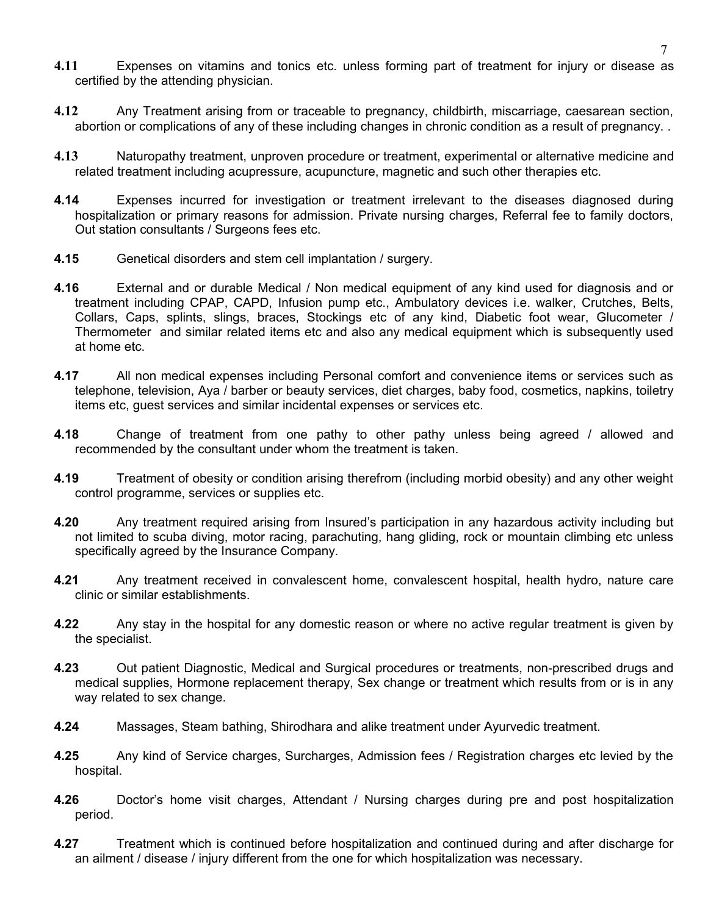- **4.11** Expenses on vitamins and tonics etc. unless forming part of treatment for injury or disease as certified by the attending physician.
- **4.12** Any Treatment arising from or traceable to pregnancy, childbirth, miscarriage, caesarean section, abortion or complications of any of these including changes in chronic condition as a result of pregnancy. .
- **4.13** Naturopathy treatment, unproven procedure or treatment, experimental or alternative medicine and related treatment including acupressure, acupuncture, magnetic and such other therapies etc.
- **4.14** Expenses incurred for investigation or treatment irrelevant to the diseases diagnosed during hospitalization or primary reasons for admission. Private nursing charges, Referral fee to family doctors, Out station consultants / Surgeons fees etc.
- **4.15** Genetical disorders and stem cell implantation / surgery.
- **4.16** External and or durable Medical / Non medical equipment of any kind used for diagnosis and or treatment including CPAP, CAPD, Infusion pump etc., Ambulatory devices i.e. walker, Crutches, Belts, Collars, Caps, splints, slings, braces, Stockings etc of any kind, Diabetic foot wear, Glucometer / Thermometer and similar related items etc and also any medical equipment which is subsequently used at home etc.
- **4.17** All non medical expenses including Personal comfort and convenience items or services such as telephone, television, Aya / barber or beauty services, diet charges, baby food, cosmetics, napkins, toiletry items etc, guest services and similar incidental expenses or services etc.
- **4.18** Change of treatment from one pathy to other pathy unless being agreed / allowed and recommended by the consultant under whom the treatment is taken.
- **4.19** Treatment of obesity or condition arising therefrom (including morbid obesity) and any other weight control programme, services or supplies etc.
- **4.20** Any treatment required arising from Insured's participation in any hazardous activity including but not limited to scuba diving, motor racing, parachuting, hang gliding, rock or mountain climbing etc unless specifically agreed by the Insurance Company.
- **4.21** Any treatment received in convalescent home, convalescent hospital, health hydro, nature care clinic or similar establishments.
- **4.22** Any stay in the hospital for any domestic reason or where no active regular treatment is given by the specialist.
- **4.23** Out patient Diagnostic, Medical and Surgical procedures or treatments, non-prescribed drugs and medical supplies, Hormone replacement therapy, Sex change or treatment which results from or is in any way related to sex change.
- **4.24** Massages, Steam bathing, Shirodhara and alike treatment under Ayurvedic treatment.
- **4.25** Any kind of Service charges, Surcharges, Admission fees / Registration charges etc levied by the hospital.
- **4.26** Doctor's home visit charges, Attendant / Nursing charges during pre and post hospitalization period.
- **4.27** Treatment which is continued before hospitalization and continued during and after discharge for an ailment / disease / injury different from the one for which hospitalization was necessary.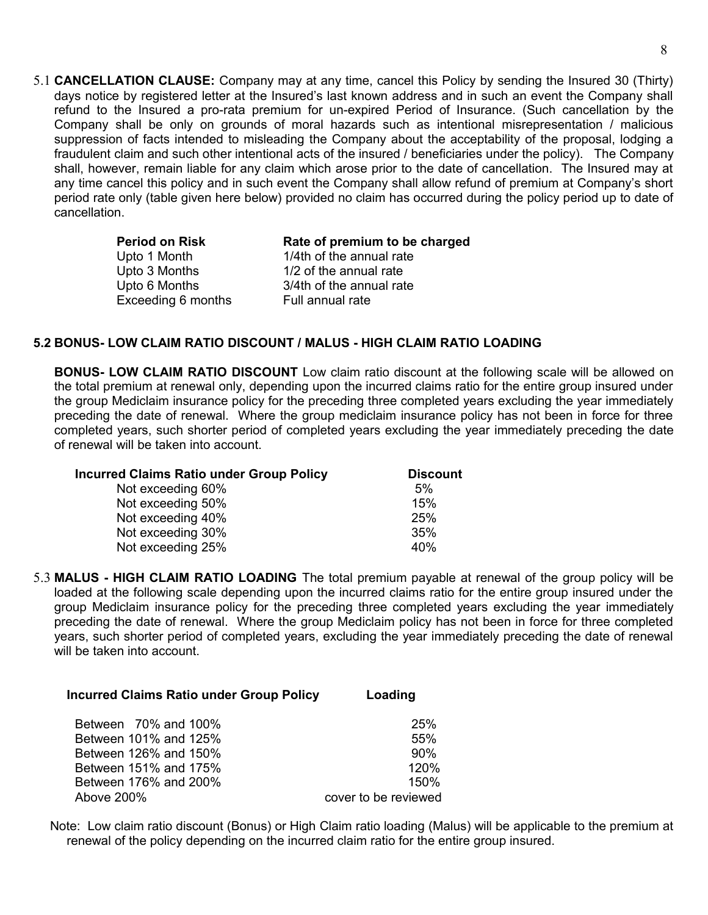5.1 **CANCELLATION CLAUSE:** Company may at any time, cancel this Policy by sending the Insured 30 (Thirty) days notice by registered letter at the Insured's last known address and in such an event the Company shall refund to the Insured a pro-rata premium for un-expired Period of Insurance. (Such cancellation by the Company shall be only on grounds of moral hazards such as intentional misrepresentation / malicious suppression of facts intended to misleading the Company about the acceptability of the proposal, lodging a fraudulent claim and such other intentional acts of the insured / beneficiaries under the policy). The Company shall, however, remain liable for any claim which arose prior to the date of cancellation. The Insured may at any time cancel this policy and in such event the Company shall allow refund of premium at Company's short period rate only (table given here below) provided no claim has occurred during the policy period up to date of cancellation.

| Rate of premium to be charged |
|-------------------------------|
| 1/4th of the annual rate      |
| 1/2 of the annual rate        |
| 3/4th of the annual rate      |
| Full annual rate              |
|                               |

### **5.2 BONUS- LOW CLAIM RATIO DISCOUNT / MALUS - HIGH CLAIM RATIO LOADING**

**BONUS- LOW CLAIM RATIO DISCOUNT** Low claim ratio discount at the following scale will be allowed on the total premium at renewal only, depending upon the incurred claims ratio for the entire group insured under the group Mediclaim insurance policy for the preceding three completed years excluding the year immediately preceding the date of renewal. Where the group mediclaim insurance policy has not been in force for three completed years, such shorter period of completed years excluding the year immediately preceding the date of renewal will be taken into account.

| <b>Incurred Claims Ratio under Group Policy</b> | <b>Discount</b> |  |  |
|-------------------------------------------------|-----------------|--|--|
| Not exceeding 60%                               | 5%              |  |  |
| Not exceeding 50%                               | 15%             |  |  |
| Not exceeding 40%                               | 25%             |  |  |
| Not exceeding 30%                               | 35%             |  |  |
| Not exceeding 25%                               | 40%             |  |  |

5.3 **MALUS - HIGH CLAIM RATIO LOADING** The total premium payable at renewal of the group policy will be loaded at the following scale depending upon the incurred claims ratio for the entire group insured under the group Mediclaim insurance policy for the preceding three completed years excluding the year immediately preceding the date of renewal. Where the group Mediclaim policy has not been in force for three completed years, such shorter period of completed years, excluding the year immediately preceding the date of renewal will be taken into account.

| <b>Incurred Claims Ratio under Group Policy</b> | Loading              |  |  |
|-------------------------------------------------|----------------------|--|--|
| Between 70% and 100%                            | 25%                  |  |  |
| Between 101% and 125%                           | 55%                  |  |  |
| Between 126% and 150%                           | 90%                  |  |  |
| Between 151% and 175%                           | 120%                 |  |  |
| Between 176% and 200%                           | 150%                 |  |  |
| Above 200%                                      | cover to be reviewed |  |  |

Note: Low claim ratio discount (Bonus) or High Claim ratio loading (Malus) will be applicable to the premium at renewal of the policy depending on the incurred claim ratio for the entire group insured.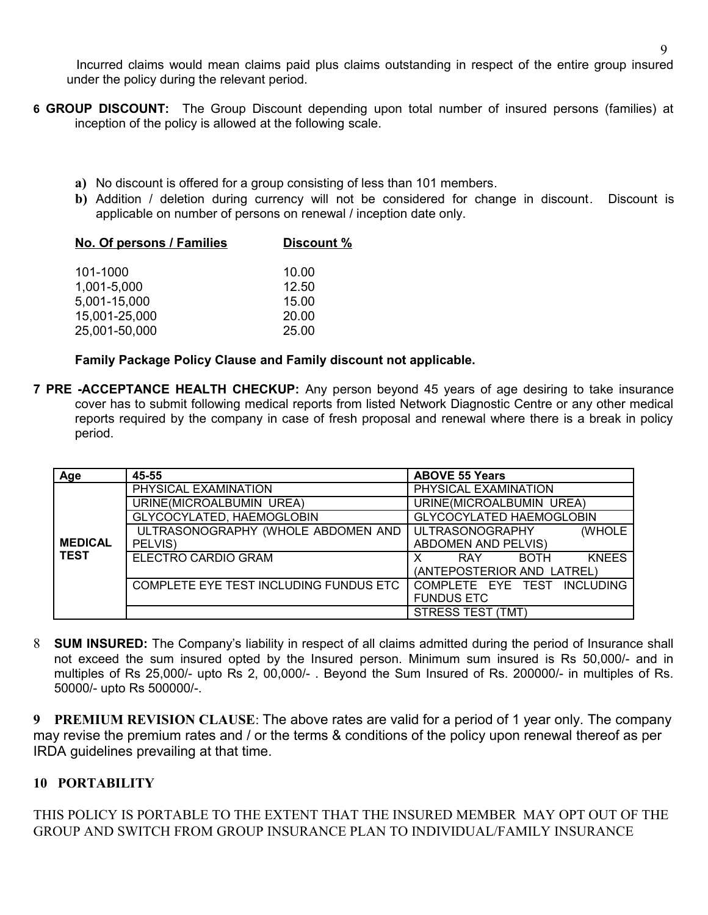Incurred claims would mean claims paid plus claims outstanding in respect of the entire group insured under the policy during the relevant period.

- **6 GROUP DISCOUNT:** The Group Discount depending upon total number of insured persons (families) at inception of the policy is allowed at the following scale.
	- **a)** No discount is offered for a group consisting of less than 101 members.
	- **b)** Addition / deletion during currency will not be considered for change in discount. Discount is applicable on number of persons on renewal / inception date only.

| No. Of persons / Families | Discount % |  |  |  |
|---------------------------|------------|--|--|--|
| 101-1000                  | 10.00      |  |  |  |
| 1,001-5,000               | 12.50      |  |  |  |
| 5,001-15,000              | 15.00      |  |  |  |
| 15,001-25,000             | 20.00      |  |  |  |
| 25,001-50,000             | 25.00      |  |  |  |

## **Family Package Policy Clause and Family discount not applicable.**

**7 PRE -ACCEPTANCE HEALTH CHECKUP:** Any person beyond 45 years of age desiring to take insurance cover has to submit following medical reports from listed Network Diagnostic Centre or any other medical reports required by the company in case of fresh proposal and renewal where there is a break in policy period.

| Age            | 45-55                                  | <b>ABOVE 55 Years</b>                     |  |  |
|----------------|----------------------------------------|-------------------------------------------|--|--|
|                | PHYSICAL EXAMINATION                   | PHYSICAL EXAMINATION                      |  |  |
|                | URINE(MICROALBUMIN UREA)               | URINE(MICROALBUMIN UREA)                  |  |  |
|                | GLYCOCYLATED, HAEMOGLOBIN              | <b>GLYCOCYLATED HAEMOGLOBIN</b>           |  |  |
|                | ULTRASONOGRAPHY (WHOLE ABDOMEN AND     | ULTRASONOGRAPHY<br>(WHOLE                 |  |  |
| <b>MEDICAL</b> | PELVIS)                                | <b>ABDOMEN AND PELVIS)</b>                |  |  |
| <b>TEST</b>    | ELECTRO CARDIO GRAM                    | <b>KNEES</b><br><b>BOTH</b><br><b>RAY</b> |  |  |
|                |                                        | (ANTEPOSTERIOR AND LATREL)                |  |  |
|                | COMPLETE EYE TEST INCLUDING FUNDUS ETC | COMPLETE EYE TEST INCLUDING               |  |  |
|                |                                        | <b>FUNDUS ETC</b>                         |  |  |
|                |                                        | STRESS TEST (TMT)                         |  |  |

8 **SUM INSURED:** The Company's liability in respect of all claims admitted during the period of Insurance shall not exceed the sum insured opted by the Insured person. Minimum sum insured is Rs 50,000/- and in multiples of Rs 25,000/- upto Rs 2, 00,000/- . Beyond the Sum Insured of Rs. 200000/- in multiples of Rs. 50000/- upto Rs 500000/-.

**9 PREMIUM REVISION CLAUSE**: The above rates are valid for a period of 1 year only. The company may revise the premium rates and / or the terms & conditions of the policy upon renewal thereof as per IRDA guidelines prevailing at that time.

## **10 PORTABILITY**

THIS POLICY IS PORTABLE TO THE EXTENT THAT THE INSURED MEMBER MAY OPT OUT OF THE GROUP AND SWITCH FROM GROUP INSURANCE PLAN TO INDIVIDUAL/FAMILY INSURANCE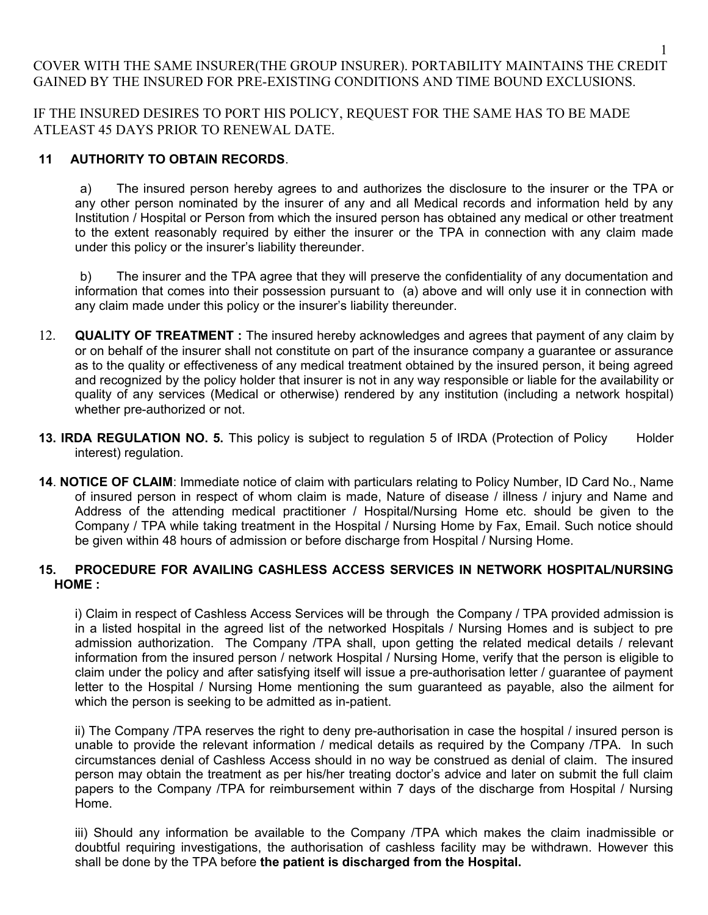## COVER WITH THE SAME INSURER(THE GROUP INSURER). PORTABILITY MAINTAINS THE CREDIT GAINED BY THE INSURED FOR PRE-EXISTING CONDITIONS AND TIME BOUND EXCLUSIONS.

IF THE INSURED DESIRES TO PORT HIS POLICY, REQUEST FOR THE SAME HAS TO BE MADE ATLEAST 45 DAYS PRIOR TO RENEWAL DATE.

## **11 AUTHORITY TO OBTAIN RECORDS**.

a) The insured person hereby agrees to and authorizes the disclosure to the insurer or the TPA or any other person nominated by the insurer of any and all Medical records and information held by any Institution / Hospital or Person from which the insured person has obtained any medical or other treatment to the extent reasonably required by either the insurer or the TPA in connection with any claim made under this policy or the insurer's liability thereunder.

b) The insurer and the TPA agree that they will preserve the confidentiality of any documentation and information that comes into their possession pursuant to (a) above and will only use it in connection with any claim made under this policy or the insurer's liability thereunder.

- 12. **QUALITY OF TREATMENT :** The insured hereby acknowledges and agrees that payment of any claim by or on behalf of the insurer shall not constitute on part of the insurance company a guarantee or assurance as to the quality or effectiveness of any medical treatment obtained by the insured person, it being agreed and recognized by the policy holder that insurer is not in any way responsible or liable for the availability or quality of any services (Medical or otherwise) rendered by any institution (including a network hospital) whether pre-authorized or not.
- **13. IRDA REGULATION NO. 5.** This policy is subject to regulation 5 of IRDA (Protection of Policy Holder interest) regulation.
- **14**. **NOTICE OF CLAIM**: Immediate notice of claim with particulars relating to Policy Number, ID Card No., Name of insured person in respect of whom claim is made, Nature of disease / illness / injury and Name and Address of the attending medical practitioner / Hospital/Nursing Home etc. should be given to the Company / TPA while taking treatment in the Hospital / Nursing Home by Fax, Email. Such notice should be given within 48 hours of admission or before discharge from Hospital / Nursing Home.

### **15. PROCEDURE FOR AVAILING CASHLESS ACCESS SERVICES IN NETWORK HOSPITAL/NURSING HOME :**

i) Claim in respect of Cashless Access Services will be through the Company / TPA provided admission is in a listed hospital in the agreed list of the networked Hospitals / Nursing Homes and is subject to pre admission authorization. The Company /TPA shall, upon getting the related medical details / relevant information from the insured person / network Hospital / Nursing Home, verify that the person is eligible to claim under the policy and after satisfying itself will issue a pre-authorisation letter / guarantee of payment letter to the Hospital / Nursing Home mentioning the sum guaranteed as payable, also the ailment for which the person is seeking to be admitted as in-patient.

ii) The Company /TPA reserves the right to deny pre-authorisation in case the hospital / insured person is unable to provide the relevant information / medical details as required by the Company /TPA. In such circumstances denial of Cashless Access should in no way be construed as denial of claim. The insured person may obtain the treatment as per his/her treating doctor's advice and later on submit the full claim papers to the Company /TPA for reimbursement within 7 days of the discharge from Hospital / Nursing Home.

iii) Should any information be available to the Company /TPA which makes the claim inadmissible or doubtful requiring investigations, the authorisation of cashless facility may be withdrawn. However this shall be done by the TPA before **the patient is discharged from the Hospital.**